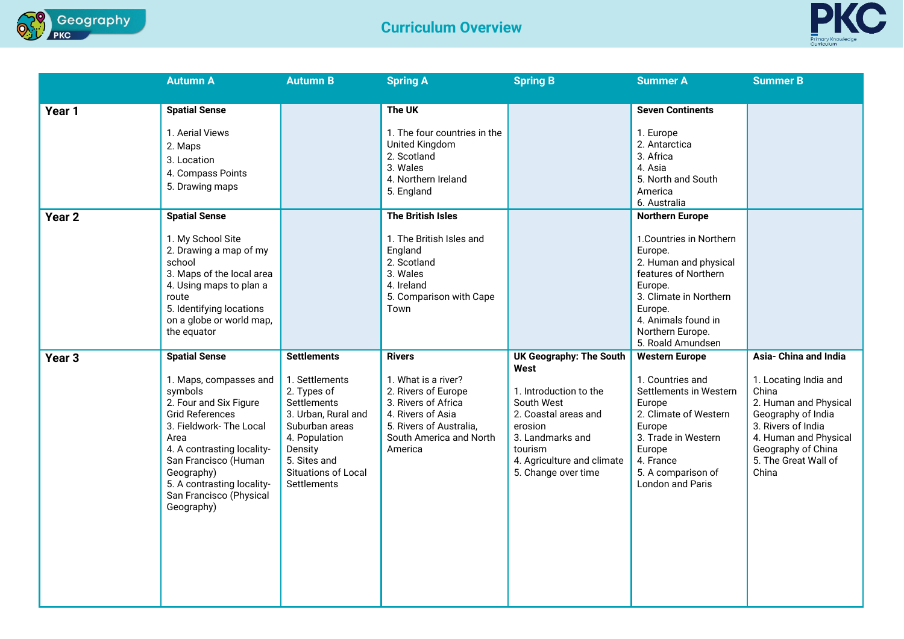



|                   | <b>Autumn A</b>                                                                                                                                                                                                                                                                             | <b>Autumn B</b>                                                                                                                                                                                      | <b>Spring A</b>                                                                                                                                                          | <b>Spring B</b>                                                                                                                                                                                       | <b>Summer A</b>                                                                                                                                                                                                                | <b>Summer B</b>                                                                                                                                                                                              |
|-------------------|---------------------------------------------------------------------------------------------------------------------------------------------------------------------------------------------------------------------------------------------------------------------------------------------|------------------------------------------------------------------------------------------------------------------------------------------------------------------------------------------------------|--------------------------------------------------------------------------------------------------------------------------------------------------------------------------|-------------------------------------------------------------------------------------------------------------------------------------------------------------------------------------------------------|--------------------------------------------------------------------------------------------------------------------------------------------------------------------------------------------------------------------------------|--------------------------------------------------------------------------------------------------------------------------------------------------------------------------------------------------------------|
| Year 1            | <b>Spatial Sense</b><br>1. Aerial Views<br>2. Maps<br>3. Location<br>4. Compass Points<br>5. Drawing maps                                                                                                                                                                                   |                                                                                                                                                                                                      | The UK<br>1. The four countries in the<br><b>United Kingdom</b><br>2. Scotland<br>3. Wales<br>4. Northern Ireland<br>5. England                                          |                                                                                                                                                                                                       | <b>Seven Continents</b><br>1. Europe<br>2. Antarctica<br>3. Africa<br>4. Asia<br>5. North and South<br>America<br>6. Australia                                                                                                 |                                                                                                                                                                                                              |
| Year <sub>2</sub> | <b>Spatial Sense</b><br>1. My School Site<br>2. Drawing a map of my<br>school<br>3. Maps of the local area<br>4. Using maps to plan a<br>route<br>5. Identifying locations<br>on a globe or world map,<br>the equator                                                                       |                                                                                                                                                                                                      | The British Isles<br>1. The British Isles and<br>England<br>2. Scotland<br>3. Wales<br>4. Ireland<br>5. Comparison with Cape<br>Town                                     |                                                                                                                                                                                                       | <b>Northern Europe</b><br>1. Countries in Northern<br>Europe.<br>2. Human and physical<br>features of Northern<br>Europe.<br>3. Climate in Northern<br>Europe.<br>4. Animals found in<br>Northern Europe.<br>5. Roald Amundsen |                                                                                                                                                                                                              |
| Year <sub>3</sub> | <b>Spatial Sense</b><br>1. Maps, compasses and<br>symbols<br>2. Four and Six Figure<br><b>Grid References</b><br>3. Fieldwork- The Local<br>Area<br>4. A contrasting locality-<br>San Francisco (Human<br>Geography)<br>5. A contrasting locality-<br>San Francisco (Physical<br>Geography) | <b>Settlements</b><br>1. Settlements<br>2. Types of<br>Settlements<br>3. Urban, Rural and<br>Suburban areas<br>4. Population<br>Density<br>5. Sites and<br>Situations of Local<br><b>Settlements</b> | <b>Rivers</b><br>1. What is a river?<br>2. Rivers of Europe<br>3. Rivers of Africa<br>4. Rivers of Asia<br>5. Rivers of Australia,<br>South America and North<br>America | <b>UK Geography: The South</b><br>West<br>1. Introduction to the<br>South West<br>2. Coastal areas and<br>erosion<br>3. Landmarks and<br>tourism<br>4. Agriculture and climate<br>5. Change over time | <b>Western Europe</b><br>1. Countries and<br>Settlements in Western<br>Europe<br>2. Climate of Western<br>Europe<br>3. Trade in Western<br>Europe<br>4. France<br>5. A comparison of<br><b>London and Paris</b>                | Asia- China and India<br>1. Locating India and<br>China<br>2. Human and Physical<br>Geography of India<br>3. Rivers of India<br>4. Human and Physical<br>Geography of China<br>5. The Great Wall of<br>China |